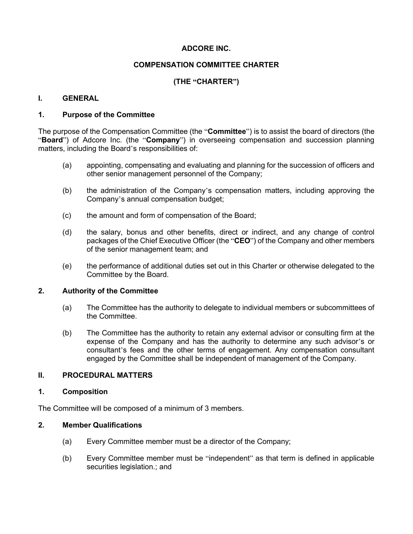# **ADCORE INC.**

## **COMPENSATION COMMITTEE CHARTER**

# **(THE "CHARTER")**

### **I. GENERAL**

### **1. Purpose of the Committee**

The purpose of the Compensation Committee (the "**Committee**") is to assist the board of directors (the "**Board**") of Adcore Inc. (the "**Company**") in overseeing compensation and succession planning matters, including the Board's responsibilities of:

- (a) appointing, compensating and evaluating and planning for the succession of officers and other senior management personnel of the Company;
- (b) the administration of the Company's compensation matters, including approving the Company's annual compensation budget;
- (c) the amount and form of compensation of the Board;
- (d) the salary, bonus and other benefits, direct or indirect, and any change of control packages of the Chief Executive Officer (the "**CEO**") of the Company and other members of the senior management team; and
- (e) the performance of additional duties set out in this Charter or otherwise delegated to the Committee by the Board.

#### **2. Authority of the Committee**

- (a) The Committee has the authority to delegate to individual members or subcommittees of the Committee.
- (b) The Committee has the authority to retain any external advisor or consulting firm at the expense of the Company and has the authority to determine any such advisor's or consultant's fees and the other terms of engagement. Any compensation consultant engaged by the Committee shall be independent of management of the Company.

### **II. PROCEDURAL MATTERS**

#### **1. Composition**

The Committee will be composed of a minimum of 3 members.

#### **2. Member Qualifications**

- (a) Every Committee member must be a director of the Company;
- (b) Every Committee member must be "independent" as that term is defined in applicable securities legislation.; and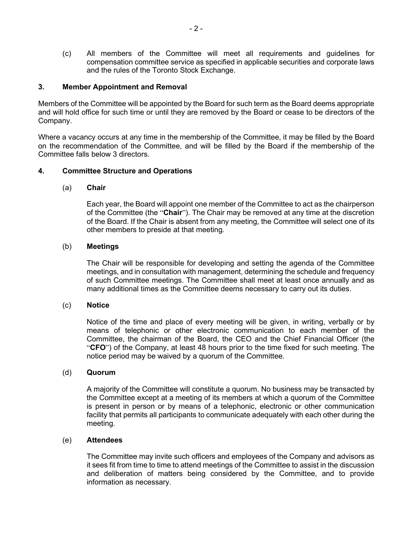(c) All members of the Committee will meet all requirements and guidelines for compensation committee service as specified in applicable securities and corporate laws and the rules of the Toronto Stock Exchange.

### **3. Member Appointment and Removal**

Members of the Committee will be appointed by the Board for such term as the Board deems appropriate and will hold office for such time or until they are removed by the Board or cease to be directors of the Company.

Where a vacancy occurs at any time in the membership of the Committee, it may be filled by the Board on the recommendation of the Committee, and will be filled by the Board if the membership of the Committee falls below 3 directors.

### **4. Committee Structure and Operations**

#### (a) **Chair**

Each year, the Board will appoint one member of the Committee to act as the chairperson of the Committee (the "**Chair**"). The Chair may be removed at any time at the discretion of the Board. If the Chair is absent from any meeting, the Committee will select one of its other members to preside at that meeting.

### (b) **Meetings**

The Chair will be responsible for developing and setting the agenda of the Committee meetings, and in consultation with management, determining the schedule and frequency of such Committee meetings. The Committee shall meet at least once annually and as many additional times as the Committee deems necessary to carry out its duties.

#### (c) **Notice**

Notice of the time and place of every meeting will be given, in writing, verbally or by means of telephonic or other electronic communication to each member of the Committee, the chairman of the Board, the CEO and the Chief Financial Officer (the "**CFO**") of the Company, at least 48 hours prior to the time fixed for such meeting. The notice period may be waived by a quorum of the Committee.

#### (d) **Quorum**

A majority of the Committee will constitute a quorum. No business may be transacted by the Committee except at a meeting of its members at which a quorum of the Committee is present in person or by means of a telephonic, electronic or other communication facility that permits all participants to communicate adequately with each other during the meeting.

#### (e) **Attendees**

The Committee may invite such officers and employees of the Company and advisors as it sees fit from time to time to attend meetings of the Committee to assist in the discussion and deliberation of matters being considered by the Committee, and to provide information as necessary.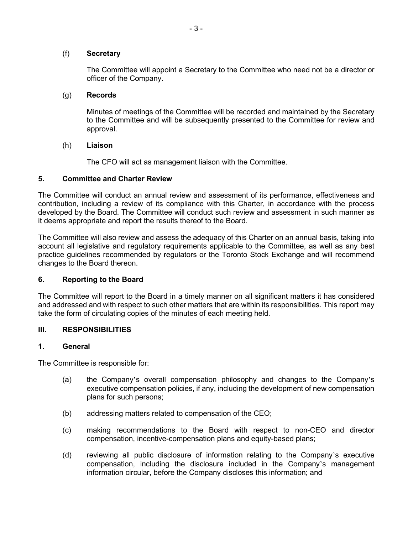### (f) **Secretary**

The Committee will appoint a Secretary to the Committee who need not be a director or officer of the Company.

### (g) **Records**

Minutes of meetings of the Committee will be recorded and maintained by the Secretary to the Committee and will be subsequently presented to the Committee for review and approval.

### (h) **Liaison**

The CFO will act as management liaison with the Committee.

### **5. Committee and Charter Review**

The Committee will conduct an annual review and assessment of its performance, effectiveness and contribution, including a review of its compliance with this Charter, in accordance with the process developed by the Board. The Committee will conduct such review and assessment in such manner as it deems appropriate and report the results thereof to the Board.

The Committee will also review and assess the adequacy of this Charter on an annual basis, taking into account all legislative and regulatory requirements applicable to the Committee, as well as any best practice guidelines recommended by regulators or the Toronto Stock Exchange and will recommend changes to the Board thereon.

### **6. Reporting to the Board**

The Committee will report to the Board in a timely manner on all significant matters it has considered and addressed and with respect to such other matters that are within its responsibilities. This report may take the form of circulating copies of the minutes of each meeting held.

### **III. RESPONSIBILITIES**

#### **1. General**

The Committee is responsible for:

- (a) the Company's overall compensation philosophy and changes to the Company's executive compensation policies, if any, including the development of new compensation plans for such persons;
- (b) addressing matters related to compensation of the CEO;
- (c) making recommendations to the Board with respect to non-CEO and director compensation, incentive-compensation plans and equity-based plans;
- (d) reviewing all public disclosure of information relating to the Company's executive compensation, including the disclosure included in the Company's management information circular, before the Company discloses this information; and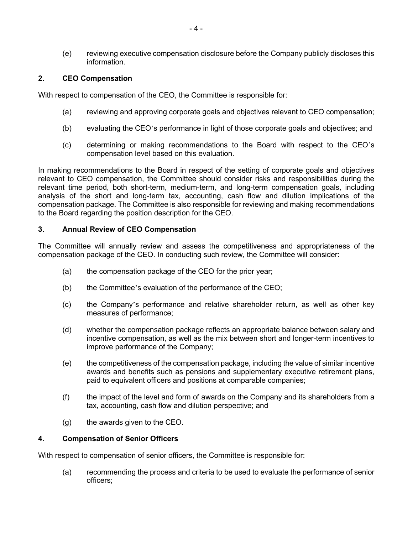(e) reviewing executive compensation disclosure before the Company publicly discloses this information.

### **2. CEO Compensation**

With respect to compensation of the CEO, the Committee is responsible for:

- (a) reviewing and approving corporate goals and objectives relevant to CEO compensation;
- (b) evaluating the CEO's performance in light of those corporate goals and objectives; and
- (c) determining or making recommendations to the Board with respect to the CEO's compensation level based on this evaluation.

In making recommendations to the Board in respect of the setting of corporate goals and objectives relevant to CEO compensation, the Committee should consider risks and responsibilities during the relevant time period, both short-term, medium-term, and long-term compensation goals, including analysis of the short and long-term tax, accounting, cash flow and dilution implications of the compensation package. The Committee is also responsible for reviewing and making recommendations to the Board regarding the position description for the CEO.

### **3. Annual Review of CEO Compensation**

The Committee will annually review and assess the competitiveness and appropriateness of the compensation package of the CEO. In conducting such review, the Committee will consider:

- (a) the compensation package of the CEO for the prior year;
- (b) the Committee's evaluation of the performance of the CEO;
- (c) the Company's performance and relative shareholder return, as well as other key measures of performance;
- (d) whether the compensation package reflects an appropriate balance between salary and incentive compensation, as well as the mix between short and longer-term incentives to improve performance of the Company;
- (e) the competitiveness of the compensation package, including the value of similar incentive awards and benefits such as pensions and supplementary executive retirement plans, paid to equivalent officers and positions at comparable companies;
- (f) the impact of the level and form of awards on the Company and its shareholders from a tax, accounting, cash flow and dilution perspective; and
- (g) the awards given to the CEO.

#### **4. Compensation of Senior Officers**

With respect to compensation of senior officers, the Committee is responsible for:

(a) recommending the process and criteria to be used to evaluate the performance of senior officers;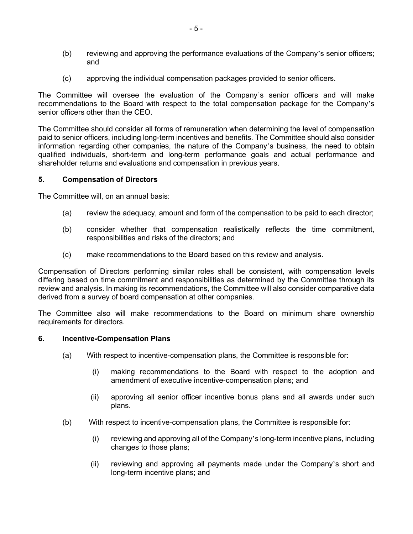- (b) reviewing and approving the performance evaluations of the Company's senior officers; and
- (c) approving the individual compensation packages provided to senior officers.

The Committee will oversee the evaluation of the Company's senior officers and will make recommendations to the Board with respect to the total compensation package for the Company's senior officers other than the CEO.

The Committee should consider all forms of remuneration when determining the level of compensation paid to senior officers, including long-term incentives and benefits. The Committee should also consider information regarding other companies, the nature of the Company's business, the need to obtain qualified individuals, short-term and long-term performance goals and actual performance and shareholder returns and evaluations and compensation in previous years.

#### **5. Compensation of Directors**

The Committee will, on an annual basis:

- (a) review the adequacy, amount and form of the compensation to be paid to each director;
- (b) consider whether that compensation realistically reflects the time commitment, responsibilities and risks of the directors; and
- (c) make recommendations to the Board based on this review and analysis.

Compensation of Directors performing similar roles shall be consistent, with compensation levels differing based on time commitment and responsibilities as determined by the Committee through its review and analysis. In making its recommendations, the Committee will also consider comparative data derived from a survey of board compensation at other companies.

The Committee also will make recommendations to the Board on minimum share ownership requirements for directors.

#### **6. Incentive-Compensation Plans**

- (a) With respect to incentive-compensation plans, the Committee is responsible for:
	- (i) making recommendations to the Board with respect to the adoption and amendment of executive incentive-compensation plans; and
	- (ii) approving all senior officer incentive bonus plans and all awards under such plans.
- (b) With respect to incentive-compensation plans, the Committee is responsible for:
	- (i) reviewing and approving all of the Company's long-term incentive plans, including changes to those plans;
	- (ii) reviewing and approving all payments made under the Company's short and long-term incentive plans; and